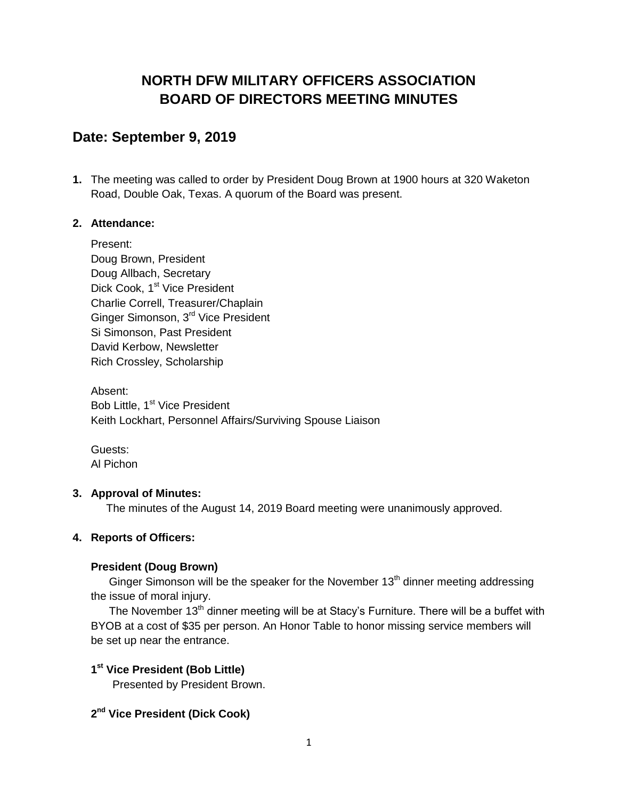# **NORTH DFW MILITARY OFFICERS ASSOCIATION BOARD OF DIRECTORS MEETING MINUTES**

## **Date: September 9, 2019**

**1.** The meeting was called to order by President Doug Brown at 1900 hours at 320 Waketon Road, Double Oak, Texas. A quorum of the Board was present.

### **2. Attendance:**

Present: Doug Brown, President Doug Allbach, Secretary Dick Cook, 1<sup>st</sup> Vice President Charlie Correll, Treasurer/Chaplain Ginger Simonson, 3<sup>rd</sup> Vice President Si Simonson, Past President David Kerbow, Newsletter Rich Crossley, Scholarship

Absent: Bob Little, 1<sup>st</sup> Vice President Keith Lockhart, Personnel Affairs/Surviving Spouse Liaison

Guests: Al Pichon

### **3. Approval of Minutes:**

The minutes of the August 14, 2019 Board meeting were unanimously approved.

### **4. Reports of Officers:**

### **President (Doug Brown)**

Ginger Simonson will be the speaker for the November  $13<sup>th</sup>$  dinner meeting addressing the issue of moral injury.

The November  $13<sup>th</sup>$  dinner meeting will be at Stacy's Furniture. There will be a buffet with BYOB at a cost of \$35 per person. An Honor Table to honor missing service members will be set up near the entrance.

### **1 st Vice President (Bob Little)**

Presented by President Brown.

### **2 nd Vice President (Dick Cook)**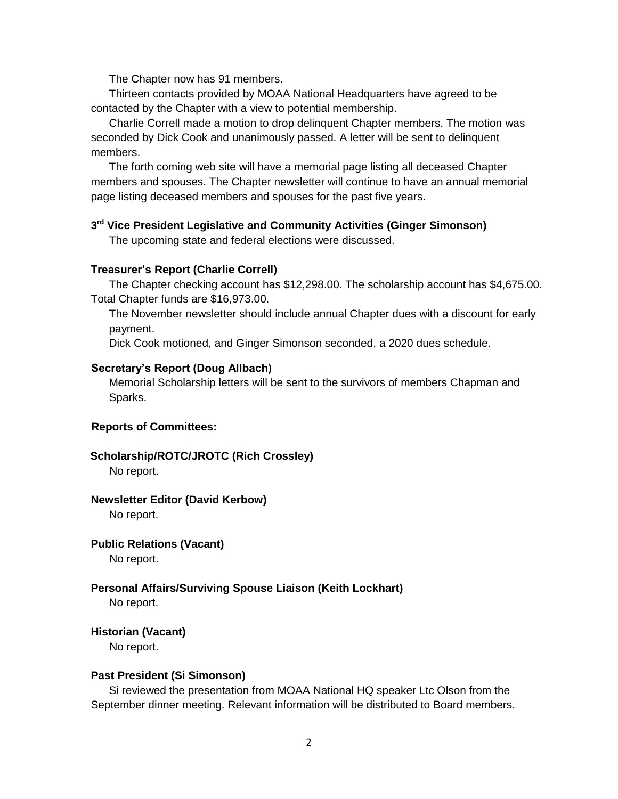The Chapter now has 91 members.

Thirteen contacts provided by MOAA National Headquarters have agreed to be contacted by the Chapter with a view to potential membership.

Charlie Correll made a motion to drop delinquent Chapter members. The motion was seconded by Dick Cook and unanimously passed. A letter will be sent to delinquent members.

The forth coming web site will have a memorial page listing all deceased Chapter members and spouses. The Chapter newsletter will continue to have an annual memorial page listing deceased members and spouses for the past five years.

#### **3 rd Vice President Legislative and Community Activities (Ginger Simonson)**

The upcoming state and federal elections were discussed.

#### **Treasurer's Report (Charlie Correll)**

The Chapter checking account has \$12,298.00. The scholarship account has \$4,675.00. Total Chapter funds are \$16,973.00.

The November newsletter should include annual Chapter dues with a discount for early payment.

Dick Cook motioned, and Ginger Simonson seconded, a 2020 dues schedule.

#### **Secretary's Report (Doug Allbach)**

Memorial Scholarship letters will be sent to the survivors of members Chapman and Sparks.

#### **Reports of Committees:**

#### **Scholarship/ROTC/JROTC (Rich Crossley)**

No report.

#### **Newsletter Editor (David Kerbow)**

No report.

#### **Public Relations (Vacant)**

No report.

#### **Personal Affairs/Surviving Spouse Liaison (Keith Lockhart)**

No report.

#### **Historian (Vacant)**

No report.

#### **Past President (Si Simonson)**

Si reviewed the presentation from MOAA National HQ speaker Ltc Olson from the September dinner meeting. Relevant information will be distributed to Board members.